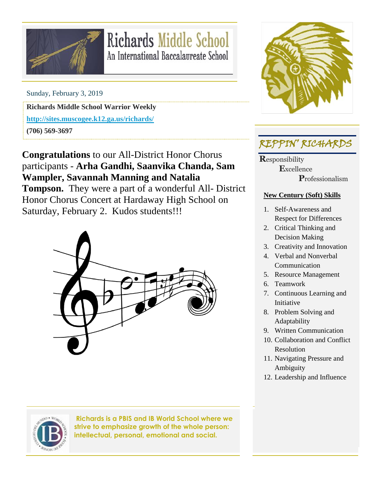

# **Richards Middle School** An International Baccalaureate School

Sunday, February 3, 2019

**Richards Middle School Warrior Weekly**

**<http://sites.muscogee.k12.ga.us/richards/>**

**(706) 569-3697**

**Congratulations** to our All-District Honor Chorus participants - **Arha Gandhi, Saanvika Chanda, Sam Wampler, Savannah Manning and Natalia Tompson.** They were a part of a wonderful All- District Honor Chorus Concert at Hardaway High School on Saturday, February 2. Kudos students!!!





**Richards is a PBIS and IB World School where we strive to emphasize growth of the whole person: intellectual, personal, emotional and social.**



## REPPIN' RICHARDS

**R**esponsibility  **E**xcellence  **P**rofessionalism

#### **New Century (Soft) Skills**

- 1. Self-Awareness and Respect for Differences
- 2. Critical Thinking and Decision Making
- 3. Creativity and Innovation
- 4. Verbal and Nonverbal Communication
- 5. Resource Management
- 6. Teamwork
- 7. Continuous Learning and Initiative
- 8. Problem Solving and Adaptability
- 9. Written Communication
- 10. Collaboration and Conflict Resolution
- 11. Navigating Pressure and Ambiguity
- 12. Leadership and Influence